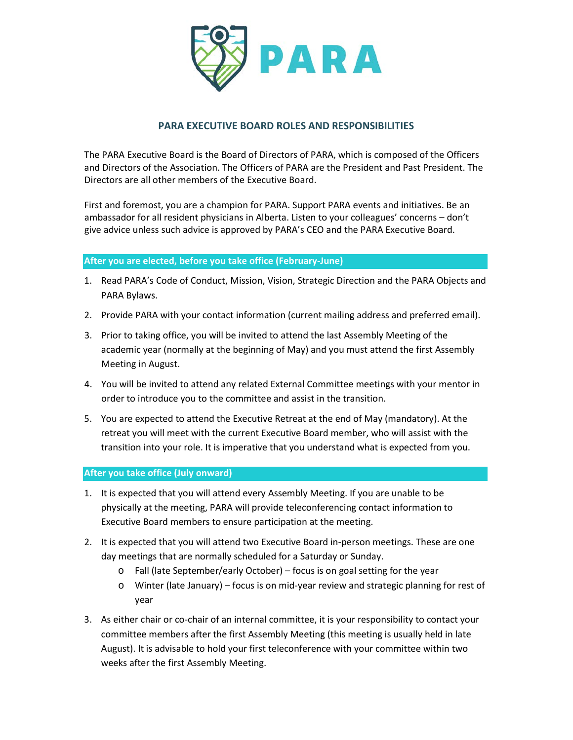

## **PARA EXECUTIVE BOARD ROLES AND RESPONSIBILITIES**

The PARA Executive Board is the Board of Directors of PARA, which is composed of the Officers and Directors of the Association. The Officers of PARA are the President and Past President. The Directors are all other members of the Executive Board.

First and foremost, you are a champion for PARA. Support PARA events and initiatives. Be an ambassador for all resident physicians in Alberta. Listen to your colleagues' concerns – don't give advice unless such advice is approved by PARA's CEO and the PARA Executive Board.

## **After you are elected, before you take office (February-June)**

- 1. Read PARA's Code of Conduct, Mission, Vision, Strategic Direction and the PARA Objects and PARA Bylaws.
- 2. Provide PARA with your contact information (current mailing address and preferred email).
- 3. Prior to taking office, you will be invited to attend the last Assembly Meeting of the academic year (normally at the beginning of May) and you must attend the first Assembly Meeting in August.
- 4. You will be invited to attend any related External Committee meetings with your mentor in order to introduce you to the committee and assist in the transition.
- 5. You are expected to attend the Executive Retreat at the end of May (mandatory). At the retreat you will meet with the current Executive Board member, who will assist with the transition into your role. It is imperative that you understand what is expected from you.

## **After you take office (July onward)**

- 1. It is expected that you will attend every Assembly Meeting. If you are unable to be physically at the meeting, PARA will provide teleconferencing contact information to Executive Board members to ensure participation at the meeting.
- 2. It is expected that you will attend two Executive Board in-person meetings. These are one day meetings that are normally scheduled for a Saturday or Sunday.
	- o Fall (late September/early October) focus is on goal setting for the year
	- o Winter (late January) focus is on mid-year review and strategic planning for rest of year
- 3. As either chair or co-chair of an internal committee, it is your responsibility to contact your committee members after the first Assembly Meeting (this meeting is usually held in late August). It is advisable to hold your first teleconference with your committee within two weeks after the first Assembly Meeting.